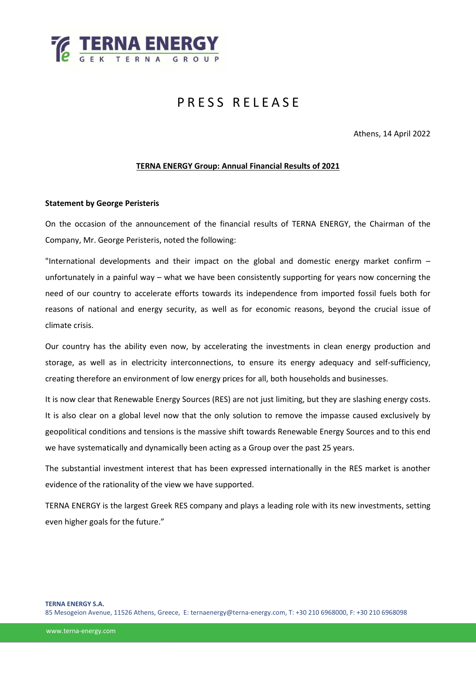

# PRESS RELEASE

Athens, 14 April 2022

### **TERNA ENERGY Group: Annual Financial Results of 2021**

#### **Statement by George Peristeris**

On the occasion of the announcement of the financial results of TERNA ENERGY, the Chairman of the Company, Mr. George Peristeris, noted the following:

"International developments and their impact on the global and domestic energy market confirm – unfortunately in a painful way – what we have been consistently supporting for years now concerning the need of our country to accelerate efforts towards its independence from imported fossil fuels both for reasons of national and energy security, as well as for economic reasons, beyond the crucial issue of climate crisis.

Our country has the ability even now, by accelerating the investments in clean energy production and storage, as well as in electricity interconnections, to ensure its energy adequacy and self-sufficiency, creating therefore an environment of low energy prices for all, both households and businesses.

It is now clear that Renewable Energy Sources (RES) are not just limiting, but they are slashing energy costs. It is also clear on a global level now that the only solution to remove the impasse caused exclusively by geopolitical conditions and tensions is the massive shift towards Renewable Energy Sources and to this end we have systematically and dynamically been acting as a Group over the past 25 years.

The substantial investment interest that has been expressed internationally in the RES market is another evidence of the rationality of the view we have supported.

TERNA ENERGY is the largest Greek RES company and plays a leading role with its new investments, setting even higher goals for the future."